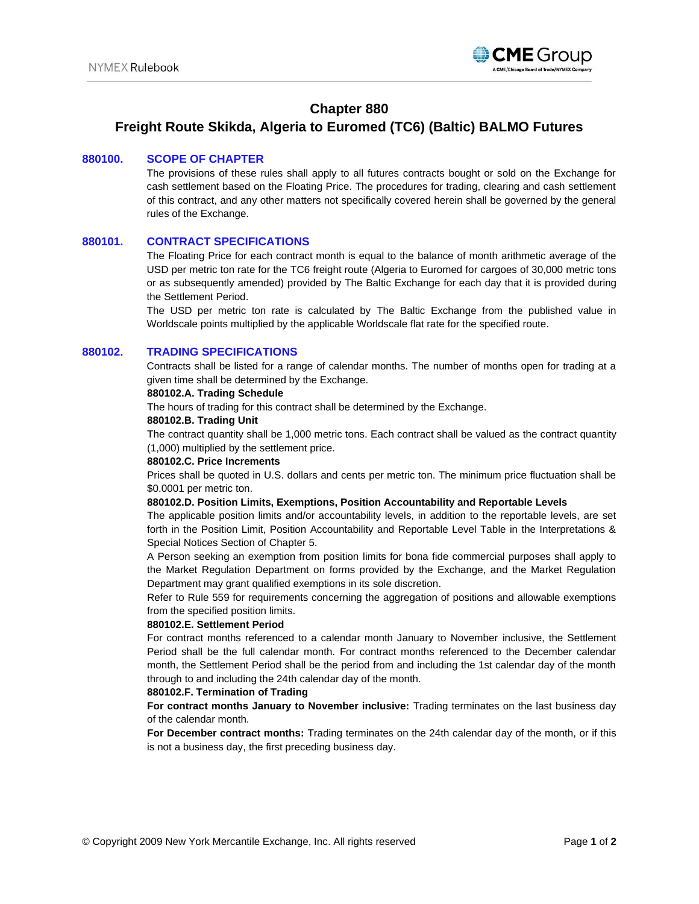

# **Chapter 880**

# **Freight Route Skikda, Algeria to Euromed (TC6) (Baltic) BALMO Futures**

## **880100. SCOPE OF CHAPTER**

The provisions of these rules shall apply to all futures contracts bought or sold on the Exchange for cash settlement based on the Floating Price. The procedures for trading, clearing and cash settlement of this contract, and any other matters not specifically covered herein shall be governed by the general rules of the Exchange.

## **880101. CONTRACT SPECIFICATIONS**

The Floating Price for each contract month is equal to the balance of month arithmetic average of the USD per metric ton rate for the TC6 freight route (Algeria to Euromed for cargoes of 30,000 metric tons or as subsequently amended) provided by The Baltic Exchange for each day that it is provided during the Settlement Period.

The USD per metric ton rate is calculated by The Baltic Exchange from the published value in Worldscale points multiplied by the applicable Worldscale flat rate for the specified route.

# **880102. TRADING SPECIFICATIONS**

Contracts shall be listed for a range of calendar months. The number of months open for trading at a given time shall be determined by the Exchange.

### **880102.A. Trading Schedule**

The hours of trading for this contract shall be determined by the Exchange.

#### **880102.B. Trading Unit**

The contract quantity shall be 1,000 metric tons. Each contract shall be valued as the contract quantity (1,000) multiplied by the settlement price.

### **880102.C. Price Increments**

Prices shall be quoted in U.S. dollars and cents per metric ton. The minimum price fluctuation shall be \$0.0001 per metric ton.

### **880102.D. Position Limits, Exemptions, Position Accountability and Reportable Levels**

The applicable position limits and/or accountability levels, in addition to the reportable levels, are set forth in the Position Limit, Position Accountability and Reportable Level Table in the Interpretations & Special Notices Section of Chapter 5.

A Person seeking an exemption from position limits for bona fide commercial purposes shall apply to the Market Regulation Department on forms provided by the Exchange, and the Market Regulation Department may grant qualified exemptions in its sole discretion.

Refer to Rule 559 for requirements concerning the aggregation of positions and allowable exemptions from the specified position limits.

#### **880102.E. Settlement Period**

For contract months referenced to a calendar month January to November inclusive, the Settlement Period shall be the full calendar month. For contract months referenced to the December calendar month, the Settlement Period shall be the period from and including the 1st calendar day of the month through to and including the 24th calendar day of the month.

#### **880102.F. Termination of Trading**

**For contract months January to November inclusive:** Trading terminates on the last business day of the calendar month.

**For December contract months:** Trading terminates on the 24th calendar day of the month, or if this is not a business day, the first preceding business day.